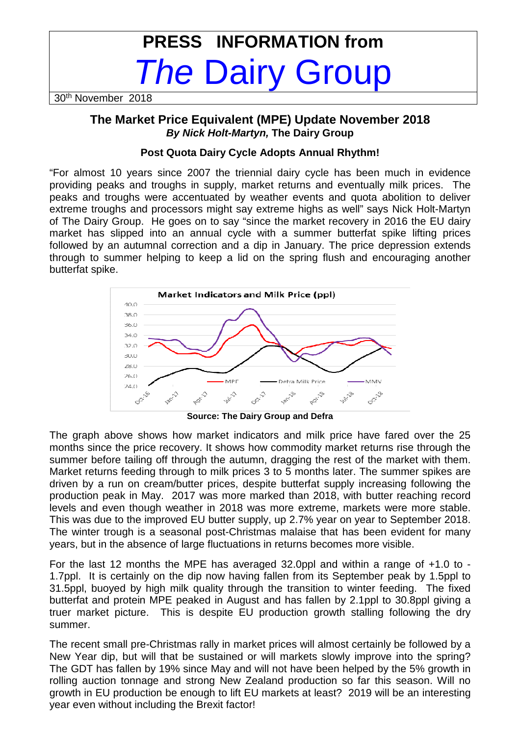# **PRESS INFORMATION from The Dairy Group**

30th November 2018

## **The Market Price Equivalent (MPE) Update November 2018 By Nick Holt-Martyn, The Dairy Group**

### **Post Quota Dairy Cycle Adopts Annual Rhythm!**

"For almost 10 years since 2007 the triennial dairy cycle has been much in evidence providing peaks and troughs in supply, market returns and eventually milk prices. The peaks and troughs were accentuated by weather events and quota abolition to deliver extreme troughs and processors might say extreme highs as well" says Nick Holt-Martyn of The Dairy Group. He goes on to say "since the market recovery in 2016 the EU dairy market has slipped into an annual cycle with a summer butterfat spike lifting prices followed by an autumnal correction and a dip in January. The price depression extends through to summer helping to keep a lid on the spring flush and encouraging another butterfat spike.



**Source: The Dairy Group and Defra** 

The graph above shows how market indicators and milk price have fared over the 25 months since the price recovery. It shows how commodity market returns rise through the summer before tailing off through the autumn, dragging the rest of the market with them. Market returns feeding through to milk prices 3 to 5 months later. The summer spikes are driven by a run on cream/butter prices, despite butterfat supply increasing following the production peak in May. 2017 was more marked than 2018, with butter reaching record levels and even though weather in 2018 was more extreme, markets were more stable. This was due to the improved EU butter supply, up 2.7% year on year to September 2018. The winter trough is a seasonal post-Christmas malaise that has been evident for many years, but in the absence of large fluctuations in returns becomes more visible.

For the last 12 months the MPE has averaged 32.0ppl and within a range of +1.0 to - 1.7ppl. It is certainly on the dip now having fallen from its September peak by 1.5ppl to 31.5ppl, buoyed by high milk quality through the transition to winter feeding. The fixed butterfat and protein MPE peaked in August and has fallen by 2.1ppl to 30.8ppl giving a truer market picture. This is despite EU production growth stalling following the dry summer.

The recent small pre-Christmas rally in market prices will almost certainly be followed by a New Year dip, but will that be sustained or will markets slowly improve into the spring? The GDT has fallen by 19% since May and will not have been helped by the 5% growth in rolling auction tonnage and strong New Zealand production so far this season. Will no growth in EU production be enough to lift EU markets at least? 2019 will be an interesting year even without including the Brexit factor!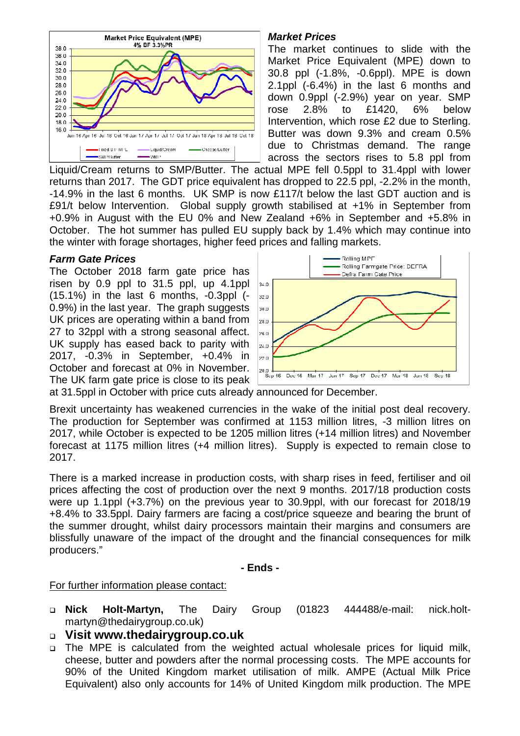

### **Market Prices**

The market continues to slide with the Market Price Equivalent (MPE) down to 30.8 ppl (-1.8%, -0.6ppl). MPE is down 2.1ppl (-6.4%) in the last 6 months and down 0.9ppl (-2.9%) year on year. SMP rose 2.8% to £1420, 6% below Intervention, which rose £2 due to Sterling. Butter was down 9.3% and cream 0.5% due to Christmas demand. The range across the sectors rises to 5.8 ppl from

Liquid/Cream returns to SMP/Butter. The actual MPE fell 0.5ppl to 31.4ppl with lower returns than 2017. The GDT price equivalent has dropped to 22.5 ppl, -2.2% in the month, -14.9% in the last 6 months. UK SMP is now £117/t below the last GDT auction and is £91/t below Intervention. Global supply growth stabilised at +1% in September from +0.9% in August with the EU 0% and New Zealand +6% in September and +5.8% in October. The hot summer has pulled EU supply back by 1.4% which may continue into the winter with forage shortages, higher feed prices and falling markets.

#### **Farm Gate Prices**

The October 2018 farm gate price has risen by 0.9 ppl to 31.5 ppl, up 4.1ppl (15.1%) in the last 6 months, -0.3ppl (- 0.9%) in the last year. The graph suggests UK prices are operating within a band from 27 to 32ppl with a strong seasonal affect. UK supply has eased back to parity with 2017, -0.3% in September, +0.4% in October and forecast at 0% in November. The UK farm gate price is close to its peak



at 31.5ppl in October with price cuts already announced for December.

Brexit uncertainty has weakened currencies in the wake of the initial post deal recovery. The production for September was confirmed at 1153 million litres, -3 million litres on 2017, while October is expected to be 1205 million litres (+14 million litres) and November forecast at 1175 million litres (+4 million litres). Supply is expected to remain close to 2017.

There is a marked increase in production costs, with sharp rises in feed, fertiliser and oil prices affecting the cost of production over the next 9 months. 2017/18 production costs were up 1.1ppl (+3.7%) on the previous year to 30.9ppl, with our forecast for 2018/19 +8.4% to 33.5ppl. Dairy farmers are facing a cost/price squeeze and bearing the brunt of the summer drought, whilst dairy processors maintain their margins and consumers are blissfully unaware of the impact of the drought and the financial consequences for milk producers."

**- Ends -** 

#### For further information please contact:

- **Nick Holt-Martyn,** The Dairy Group (01823 444488/e-mail: nick.holtmartyn@thedairygroup.co.uk)
- **Visit www.thedairygroup.co.uk**
- The MPE is calculated from the weighted actual wholesale prices for liquid milk, cheese, butter and powders after the normal processing costs. The MPE accounts for 90% of the United Kingdom market utilisation of milk. AMPE (Actual Milk Price Equivalent) also only accounts for 14% of United Kingdom milk production. The MPE